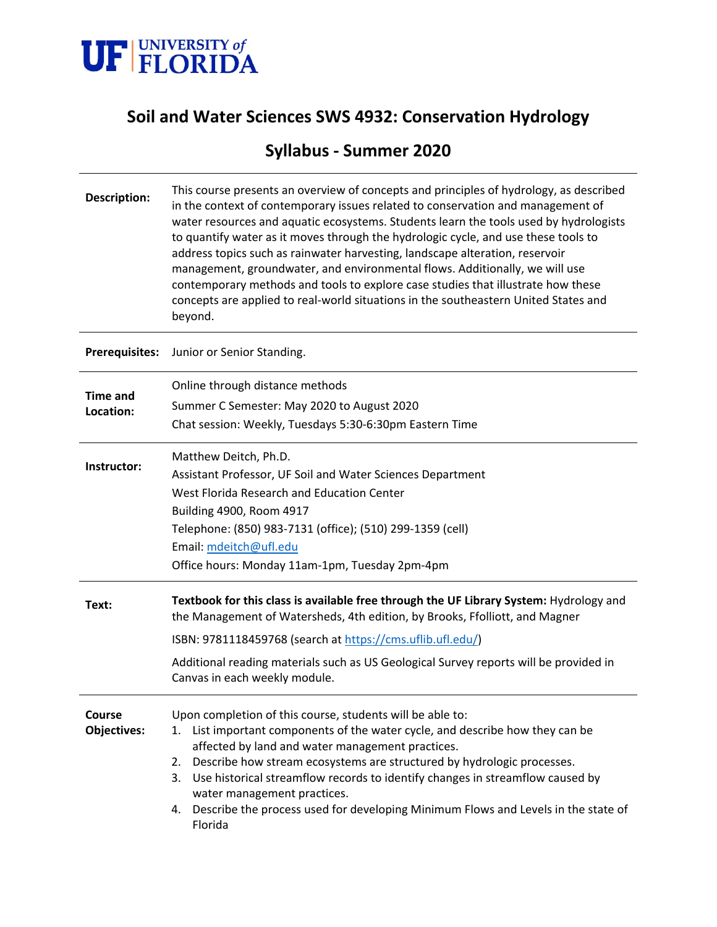

# **Soil and Water Sciences SWS 4932: Conservation Hydrology**

# **Syllabus - Summer 2020**

| <b>Description:</b>          | This course presents an overview of concepts and principles of hydrology, as described<br>in the context of contemporary issues related to conservation and management of<br>water resources and aquatic ecosystems. Students learn the tools used by hydrologists<br>to quantify water as it moves through the hydrologic cycle, and use these tools to<br>address topics such as rainwater harvesting, landscape alteration, reservoir<br>management, groundwater, and environmental flows. Additionally, we will use<br>contemporary methods and tools to explore case studies that illustrate how these<br>concepts are applied to real-world situations in the southeastern United States and<br>beyond. |  |  |  |  |  |  |  |  |
|------------------------------|---------------------------------------------------------------------------------------------------------------------------------------------------------------------------------------------------------------------------------------------------------------------------------------------------------------------------------------------------------------------------------------------------------------------------------------------------------------------------------------------------------------------------------------------------------------------------------------------------------------------------------------------------------------------------------------------------------------|--|--|--|--|--|--|--|--|
| <b>Prerequisites:</b>        | Junior or Senior Standing.                                                                                                                                                                                                                                                                                                                                                                                                                                                                                                                                                                                                                                                                                    |  |  |  |  |  |  |  |  |
| <b>Time and</b><br>Location: | Online through distance methods<br>Summer C Semester: May 2020 to August 2020<br>Chat session: Weekly, Tuesdays 5:30-6:30pm Eastern Time                                                                                                                                                                                                                                                                                                                                                                                                                                                                                                                                                                      |  |  |  |  |  |  |  |  |
| Instructor:                  | Matthew Deitch, Ph.D.<br>Assistant Professor, UF Soil and Water Sciences Department<br>West Florida Research and Education Center<br>Building 4900, Room 4917<br>Telephone: (850) 983-7131 (office); (510) 299-1359 (cell)<br>Email: mdeitch@ufl.edu<br>Office hours: Monday 11am-1pm, Tuesday 2pm-4pm                                                                                                                                                                                                                                                                                                                                                                                                        |  |  |  |  |  |  |  |  |
| Text:                        | Textbook for this class is available free through the UF Library System: Hydrology and<br>the Management of Watersheds, 4th edition, by Brooks, Ffolliott, and Magner<br>ISBN: 9781118459768 (search at https://cms.uflib.ufl.edu/)<br>Additional reading materials such as US Geological Survey reports will be provided in<br>Canvas in each weekly module.                                                                                                                                                                                                                                                                                                                                                 |  |  |  |  |  |  |  |  |
| Course<br><b>Objectives:</b> | Upon completion of this course, students will be able to:<br>List important components of the water cycle, and describe how they can be<br>1.<br>affected by land and water management practices.<br>Describe how stream ecosystems are structured by hydrologic processes.<br>2.<br>Use historical streamflow records to identify changes in streamflow caused by<br>3.<br>water management practices.<br>Describe the process used for developing Minimum Flows and Levels in the state of<br>4.<br>Florida                                                                                                                                                                                                 |  |  |  |  |  |  |  |  |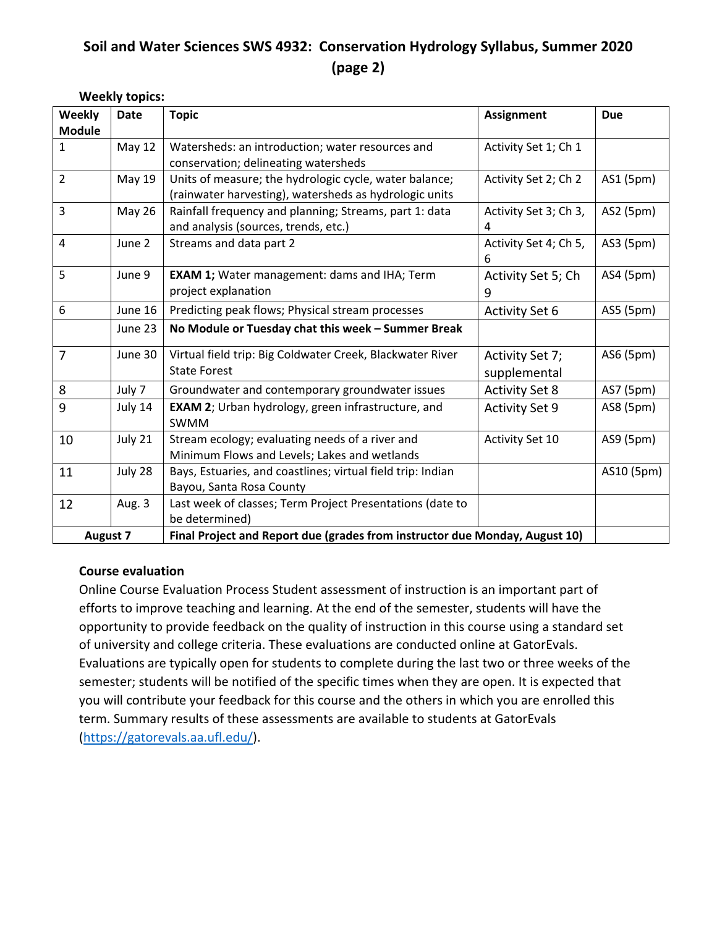## **Soil and Water Sciences SWS 4932: Conservation Hydrology Syllabus, Summer 2020 (page 2)**

**Weekly topics:**

| Weekly          | <b>Date</b>   | <b>Topic</b>                                                                | <b>Assignment</b>     | <b>Due</b> |  |  |  |
|-----------------|---------------|-----------------------------------------------------------------------------|-----------------------|------------|--|--|--|
| <b>Module</b>   |               |                                                                             |                       |            |  |  |  |
| $\mathbf{1}$    | <b>May 12</b> | Watersheds: an introduction; water resources and                            | Activity Set 1; Ch 1  |            |  |  |  |
|                 |               | conservation; delineating watersheds                                        |                       |            |  |  |  |
| $\overline{2}$  | May 19        | Units of measure; the hydrologic cycle, water balance;                      | Activity Set 2; Ch 2  | AS1 (5pm)  |  |  |  |
|                 |               | (rainwater harvesting), watersheds as hydrologic units                      |                       |            |  |  |  |
| 3               | <b>May 26</b> | Rainfall frequency and planning; Streams, part 1: data                      | Activity Set 3; Ch 3, | AS2 (5pm)  |  |  |  |
|                 |               | and analysis (sources, trends, etc.)                                        | 4                     |            |  |  |  |
| $\overline{4}$  | June 2        | Streams and data part 2                                                     | Activity Set 4; Ch 5, | AS3 (5pm)  |  |  |  |
|                 |               |                                                                             | 6                     |            |  |  |  |
| 5               | June 9        | <b>EXAM 1;</b> Water management: dams and IHA; Term                         | Activity Set 5; Ch    | AS4 (5pm)  |  |  |  |
|                 |               | project explanation                                                         | 9                     |            |  |  |  |
| 6               | June 16       | Predicting peak flows; Physical stream processes                            | <b>Activity Set 6</b> | AS5 (5pm)  |  |  |  |
|                 | June 23       | No Module or Tuesday chat this week - Summer Break                          |                       |            |  |  |  |
| 7               | June 30       | Virtual field trip: Big Coldwater Creek, Blackwater River                   | Activity Set 7;       | AS6 (5pm)  |  |  |  |
|                 |               | <b>State Forest</b>                                                         | supplemental          |            |  |  |  |
| 8               | July 7        | Groundwater and contemporary groundwater issues                             | <b>Activity Set 8</b> | AS7 (5pm)  |  |  |  |
| 9               | July 14       | EXAM 2; Urban hydrology, green infrastructure, and                          | <b>Activity Set 9</b> | AS8 (5pm)  |  |  |  |
|                 |               | <b>SWMM</b>                                                                 |                       |            |  |  |  |
| 10              | July 21       | Stream ecology; evaluating needs of a river and                             | Activity Set 10       | AS9 (5pm)  |  |  |  |
|                 |               | Minimum Flows and Levels; Lakes and wetlands                                |                       |            |  |  |  |
| 11              | July 28       | Bays, Estuaries, and coastlines; virtual field trip: Indian                 |                       | AS10 (5pm) |  |  |  |
|                 |               | Bayou, Santa Rosa County                                                    |                       |            |  |  |  |
| 12              | Aug. 3        | Last week of classes; Term Project Presentations (date to                   |                       |            |  |  |  |
|                 |               | be determined)                                                              |                       |            |  |  |  |
| <b>August 7</b> |               | Final Project and Report due (grades from instructor due Monday, August 10) |                       |            |  |  |  |

#### **Course evaluation**

Online Course Evaluation Process Student assessment of instruction is an important part of efforts to improve teaching and learning. At the end of the semester, students will have the opportunity to provide feedback on the quality of instruction in this course using a standard set of university and college criteria. These evaluations are conducted online at GatorEvals. Evaluations are typically open for students to complete during the last two or three weeks of the semester; students will be notified of the specific times when they are open. It is expected that you will contribute your feedback for this course and the others in which you are enrolled this term. Summary results of these assessments are available to students at GatorEvals [\(https://gatorevals.aa.ufl.edu/\)](https://gatorevals.aa.ufl.edu/).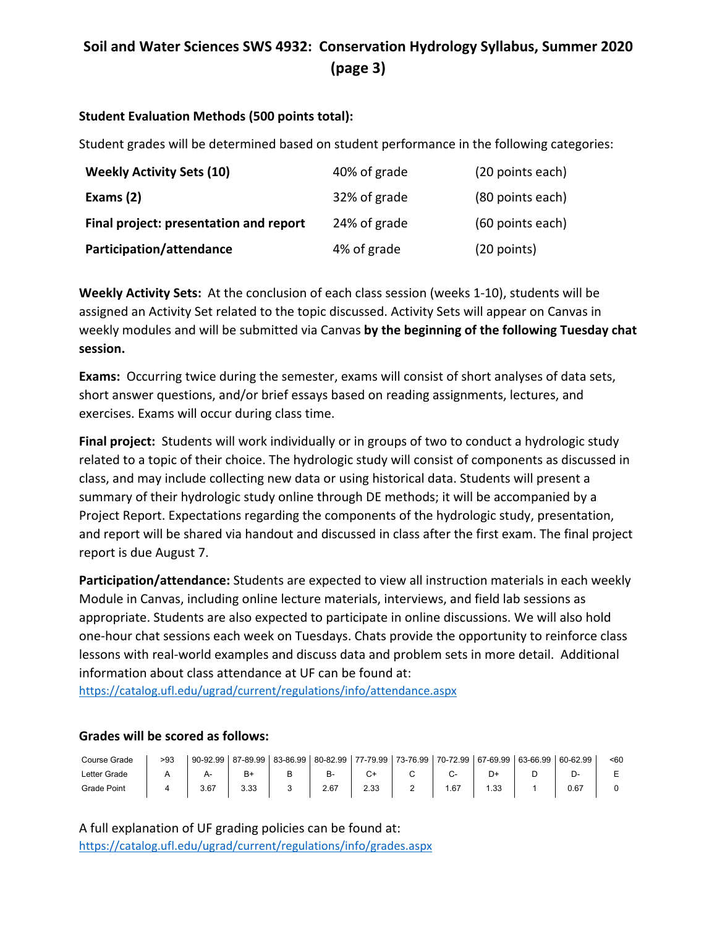## **Soil and Water Sciences SWS 4932: Conservation Hydrology Syllabus, Summer 2020 (page 3)**

#### **Student Evaluation Methods (500 points total):**

Student grades will be determined based on student performance in the following categories:

| <b>Weekly Activity Sets (10)</b>       | 40% of grade | (20 points each) |
|----------------------------------------|--------------|------------------|
| Exams (2)                              | 32% of grade | (80 points each) |
| Final project: presentation and report | 24% of grade | (60 points each) |
| Participation/attendance               | 4% of grade  | $(20$ points)    |

**Weekly Activity Sets:** At the conclusion of each class session (weeks 1-10), students will be assigned an Activity Set related to the topic discussed. Activity Sets will appear on Canvas in weekly modules and will be submitted via Canvas **by the beginning of the following Tuesday chat session.**

**Exams:** Occurring twice during the semester, exams will consist of short analyses of data sets, short answer questions, and/or brief essays based on reading assignments, lectures, and exercises. Exams will occur during class time.

**Final project:** Students will work individually or in groups of two to conduct a hydrologic study related to a topic of their choice. The hydrologic study will consist of components as discussed in class, and may include collecting new data or using historical data. Students will present a summary of their hydrologic study online through DE methods; it will be accompanied by a Project Report. Expectations regarding the components of the hydrologic study, presentation, and report will be shared via handout and discussed in class after the first exam. The final project report is due August 7.

**Participation/attendance:** Students are expected to view all instruction materials in each weekly Module in Canvas, including online lecture materials, interviews, and field lab sessions as appropriate. Students are also expected to participate in online discussions. We will also hold one-hour chat sessions each week on Tuesdays. Chats provide the opportunity to reinforce class lessons with real-world examples and discuss data and problem sets in more detail. Additional information about class attendance at UF can be found at:

<https://catalog.ufl.edu/ugrad/current/regulations/info/attendance.aspx>

#### **Grades will be scored as follows:**

| Course Grade | >93 | 90-92.99 | 87-89.99 83-86.99 | 80-82.99  |      |   | 77-79.99 73-76.99 70-72.99 67-69.99 |      | 63-66.99 | 60-62.99 | $60$ |
|--------------|-----|----------|-------------------|-----------|------|---|-------------------------------------|------|----------|----------|------|
| Letter Grade |     |          |                   | <b>B-</b> |      |   |                                     |      |          |          |      |
| Grade Point  |     | 3.67     | 3.33              | 2.67      | 2.33 | ∸ | .67ء                                | . 33 |          | 0.67     |      |

A full explanation of UF grading policies can be found at: <https://catalog.ufl.edu/ugrad/current/regulations/info/grades.aspx>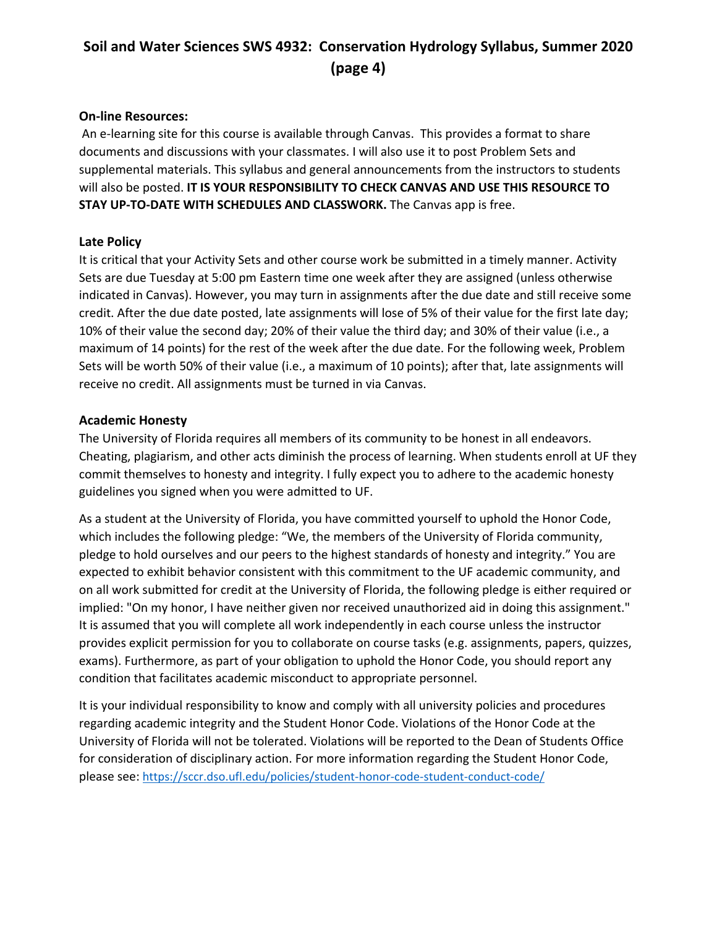## **Soil and Water Sciences SWS 4932: Conservation Hydrology Syllabus, Summer 2020 (page 4)**

#### **On-line Resources:**

An e-learning site for this course is available through Canvas. This provides a format to share documents and discussions with your classmates. I will also use it to post Problem Sets and supplemental materials. This syllabus and general announcements from the instructors to students will also be posted. **IT IS YOUR RESPONSIBILITY TO CHECK CANVAS AND USE THIS RESOURCE TO STAY UP-TO-DATE WITH SCHEDULES AND CLASSWORK.** The Canvas app is free.

#### **Late Policy**

It is critical that your Activity Sets and other course work be submitted in a timely manner. Activity Sets are due Tuesday at 5:00 pm Eastern time one week after they are assigned (unless otherwise indicated in Canvas). However, you may turn in assignments after the due date and still receive some credit. After the due date posted, late assignments will lose of 5% of their value for the first late day; 10% of their value the second day; 20% of their value the third day; and 30% of their value (i.e., a maximum of 14 points) for the rest of the week after the due date. For the following week, Problem Sets will be worth 50% of their value (i.e., a maximum of 10 points); after that, late assignments will receive no credit. All assignments must be turned in via Canvas.

#### **Academic Honesty**

The University of Florida requires all members of its community to be honest in all endeavors. Cheating, plagiarism, and other acts diminish the process of learning. When students enroll at UF they commit themselves to honesty and integrity. I fully expect you to adhere to the academic honesty guidelines you signed when you were admitted to UF.

As a student at the University of Florida, you have committed yourself to uphold the Honor Code, which includes the following pledge: "We, the members of the University of Florida community, pledge to hold ourselves and our peers to the highest standards of honesty and integrity." You are expected to exhibit behavior consistent with this commitment to the UF academic community, and on all work submitted for credit at the University of Florida, the following pledge is either required or implied: "On my honor, I have neither given nor received unauthorized aid in doing this assignment." It is assumed that you will complete all work independently in each course unless the instructor provides explicit permission for you to collaborate on course tasks (e.g. assignments, papers, quizzes, exams). Furthermore, as part of your obligation to uphold the Honor Code, you should report any condition that facilitates academic misconduct to appropriate personnel.

It is your individual responsibility to know and comply with all university policies and procedures regarding academic integrity and the Student Honor Code. Violations of the Honor Code at the University of Florida will not be tolerated. Violations will be reported to the Dean of Students Office for consideration of disciplinary action. For more information regarding the Student Honor Code, please see: <https://sccr.dso.ufl.edu/policies/student-honor-code-student-conduct-code/>